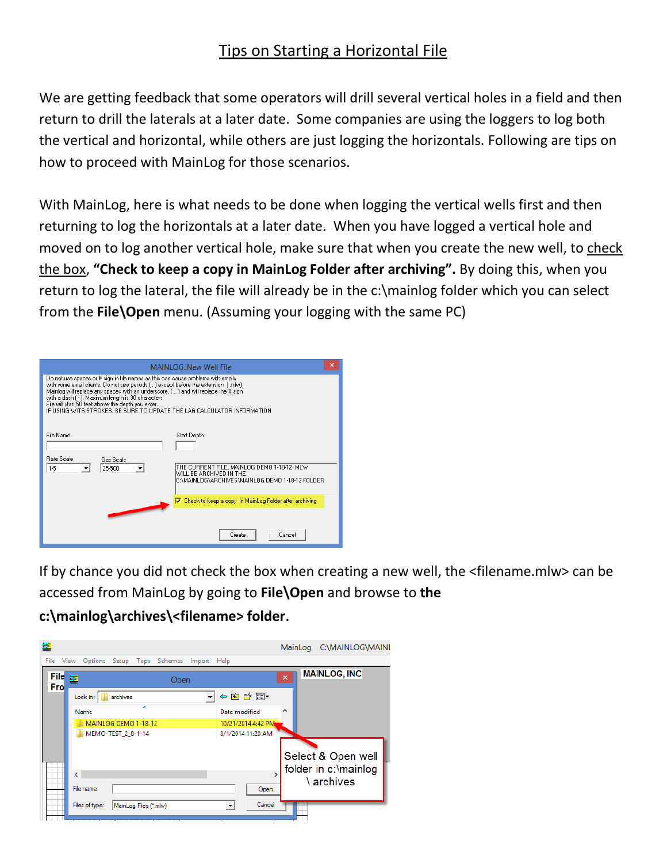## Tips on Starting a Horizontal File

We are getting feedback that some operators will drill several vertical holes in a field and then return to drill the laterals at a later date. Some companies are using the loggers to log both the vertical and horizontal, while others are just logging the horizontals. Following are tips on how to proceed with MainLog for those scenarios.

With MainLog, here is what needs to be done when logging the vertical wells first and then returning to log the horizontals at a later date. When you have logged a vertical hole and moved on to log another vertical hole, make sure that when you create the new well, to check the box, **"Check to keep a copy in MainLog Folder after archiving".** By doing this, when you return to log the lateral, the file will already be in the c:\mainlog folder which you can select from the **File\Open** menu. (Assuming your logging with the same PC)

| ×<br><b>MAINLOGNew Well File</b>                                                                                                                                                                                                                                                                                                                                                                                                                       |                                                                                                                           |  |  |  |  |  |  |  |
|--------------------------------------------------------------------------------------------------------------------------------------------------------------------------------------------------------------------------------------------------------------------------------------------------------------------------------------------------------------------------------------------------------------------------------------------------------|---------------------------------------------------------------------------------------------------------------------------|--|--|--|--|--|--|--|
| Do not use spaces or # sign in file names as this can cause problems with emails<br>with some email clients. Do not use periods [. ] except before the extension [.mlw]<br>Mainlog will replace any spaces with an underscore, [14] and will replace the # sign<br>with a dash [ - ]. Maximum length is 30 characters<br>File will start 50 feet above the depth you enter.<br>IF USING WITS STROKES, BE SURE TO UPDATE THE LAG CALCULATOR INFORMATION |                                                                                                                           |  |  |  |  |  |  |  |
| File Name                                                                                                                                                                                                                                                                                                                                                                                                                                              | Start Depth                                                                                                               |  |  |  |  |  |  |  |
| <b>Bate Scale</b><br>Gas Scale<br>1-5<br>25-500                                                                                                                                                                                                                                                                                                                                                                                                        | THE CURRENT FILE, MAINLOG DEMO 1-18-12 .MLW<br>WILL BE ARCHIVED IN THE<br>C:\MAINLOG\ARCHIVES\MAINLOG DEMO 1-18-12 FOLDER |  |  |  |  |  |  |  |
|                                                                                                                                                                                                                                                                                                                                                                                                                                                        | $\overline{\mathbf{v}}$ Check to keep a copy in MainLog Folder after archiving<br>Create<br>Cancel                        |  |  |  |  |  |  |  |

If by chance you did not check the box when creating a new well, the <filename.mlw> can be accessed from MainLog by going to **File\Open** and browse to **the** 

**c:\mainlog\archives\<filename> folder**.

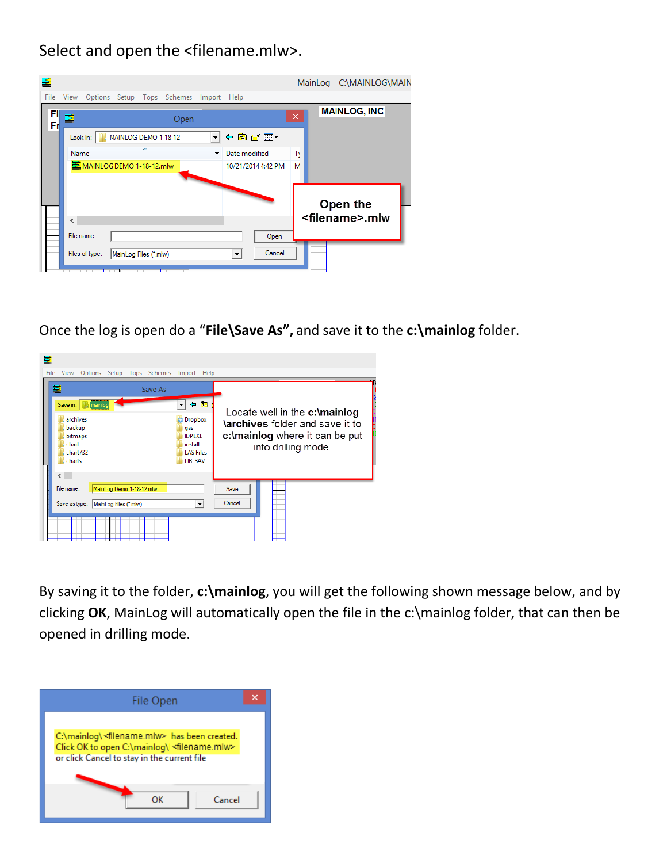Select and open the <filename.mlw>.

| 蓳        |                          |                          |                       |                            |        |                          |                    |    | MainLog C:\MAINLOG\MAIN   |
|----------|--------------------------|--------------------------|-----------------------|----------------------------|--------|--------------------------|--------------------|----|---------------------------|
| File     | View                     |                          |                       | Options Setup Tops Schemes | Import | Help                     |                    |    |                           |
| Fi<br>Fr | 重                        |                          |                       | Open                       |        |                          |                    | ×  | <b>MAINLOG, INC</b>       |
|          | Look in:                 |                          | MAINLOG DEMO 1-18-12  |                            | ┯║     |                          | ←自合國▼              |    |                           |
|          | Name                     |                          |                       |                            | ▼      | Date modified            |                    | Т١ |                           |
|          |                          | MAINLOG DEMO 1-18-12.mlw |                       |                            |        |                          | 10/21/2014 4:42 PM | м  |                           |
|          |                          |                          |                       |                            |        |                          |                    |    |                           |
|          |                          |                          |                       |                            |        |                          |                    |    | Open the                  |
|          | $\overline{\phantom{a}}$ |                          |                       |                            |        |                          |                    |    | <filename>.mlw</filename> |
|          | File name:               |                          |                       |                            |        |                          | Open               |    |                           |
|          |                          | Files of type:           | MainLog Files (*.mlw) |                            |        | $\overline{\phantom{a}}$ | Cancel             |    |                           |
|          |                          |                          |                       |                            |        |                          |                    |    |                           |

Once the log is open do a "**File\Save As",** and save it to the **c:\mainlog** folder.

| 볼<br>File | View                                                                     | Options Setup Tops Schemes Import Help |         |                                                                                               |         |        |                                                                                                                           |  |
|-----------|--------------------------------------------------------------------------|----------------------------------------|---------|-----------------------------------------------------------------------------------------------|---------|--------|---------------------------------------------------------------------------------------------------------------------------|--|
|           | 뵬                                                                        |                                        | Save As |                                                                                               |         |        |                                                                                                                           |  |
|           | Save in:<br>archives<br>backup<br>bitmaps<br>chart<br>char1732<br>charts | mainlog                                |         | ← fa<br><b>Dropbox</b><br>盎<br>qas<br><b>IDPEXE</b><br>install<br><b>LAS Files</b><br>LIB-SAV |         |        | Locate well in the c:\mainlog<br>\archives folder and save it to<br>c:\mainlog where it can be put<br>into drilling mode. |  |
|           | $\left\langle \quad \right\rangle$                                       |                                        |         |                                                                                               |         |        |                                                                                                                           |  |
|           | File name:                                                               | MainLog Demo 1-18-12.mlw               |         |                                                                                               |         | Save   |                                                                                                                           |  |
|           | Save as type:   MainLog Files (*.mlw)                                    |                                        |         |                                                                                               | $\vert$ | Cancel |                                                                                                                           |  |
|           |                                                                          |                                        |         |                                                                                               |         |        |                                                                                                                           |  |

By saving it to the folder, **c:\mainlog**, you will get the following shown message below, and by clicking **OK**, MainLog will automatically open the file in the c:\mainlog folder, that can then be opened in drilling mode.

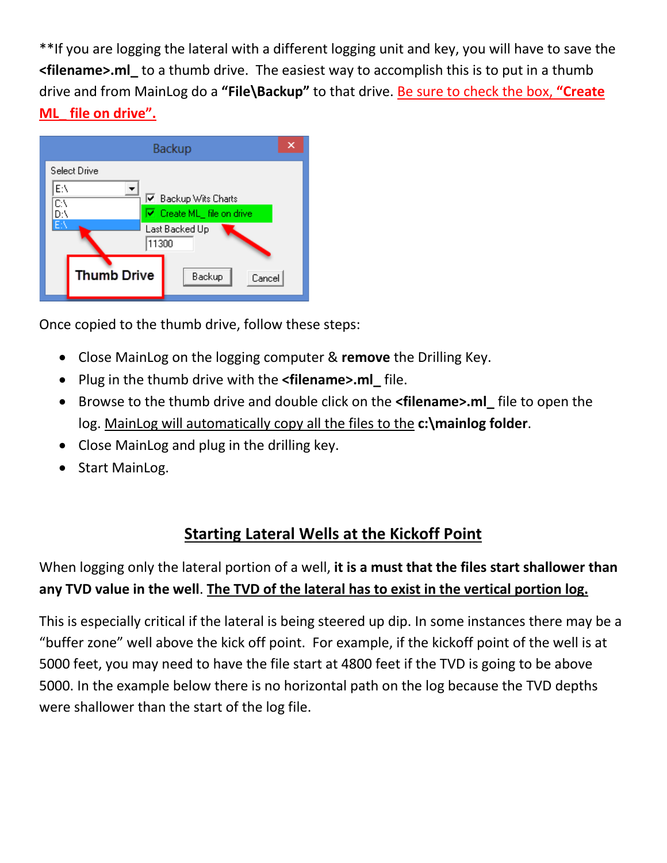\*\*If you are logging the lateral with a different logging unit and key, you will have to save the **<filename>.ml\_** to a thumb drive. The easiest way to accomplish this is to put in a thumb drive and from MainLog do a **"File\Backup"** to that drive. Be sure to check the box, **"Create ML\_ file on drive".**



Once copied to the thumb drive, follow these steps:

- Close MainLog on the logging computer & **remove** the Drilling Key.
- Plug in the thumb drive with the **<filename>.ml\_** file.
- Browse to the thumb drive and double click on the **<filename>.ml\_** file to open the log. MainLog will automatically copy all the files to the **c:\mainlog folder**.
- Close MainLog and plug in the drilling key.
- Start MainLog.

## **Starting Lateral Wells at the Kickoff Point**

When logging only the lateral portion of a well, **it is a must that the files start shallower than any TVD value in the well**. **The TVD of the lateral has to exist in the vertical portion log.**

This is especially critical if the lateral is being steered up dip. In some instances there may be a "buffer zone" well above the kick off point. For example, if the kickoff point of the well is at 5000 feet, you may need to have the file start at 4800 feet if the TVD is going to be above 5000. In the example below there is no horizontal path on the log because the TVD depths were shallower than the start of the log file.